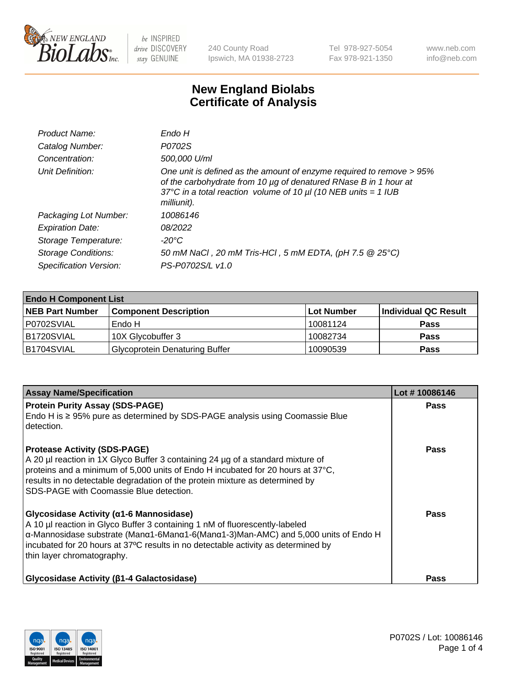

240 County Road Ipswich, MA 01938-2723 Tel 978-927-5054 Fax 978-921-1350 www.neb.com info@neb.com

## **New England Biolabs Certificate of Analysis**

| Product Name:           | Endo H                                                                                                                                                                                                                         |
|-------------------------|--------------------------------------------------------------------------------------------------------------------------------------------------------------------------------------------------------------------------------|
| Catalog Number:         | P0702S                                                                                                                                                                                                                         |
| Concentration:          | 500,000 U/ml                                                                                                                                                                                                                   |
| Unit Definition:        | One unit is defined as the amount of enzyme required to remove > 95%<br>of the carbohydrate from 10 µg of denatured RNase B in 1 hour at<br>37°C in a total reaction volume of 10 $\mu$ I (10 NEB units = 1 IUB<br>milliunit). |
| Packaging Lot Number:   | 10086146                                                                                                                                                                                                                       |
| <b>Expiration Date:</b> | 08/2022                                                                                                                                                                                                                        |
| Storage Temperature:    | -20°C                                                                                                                                                                                                                          |
| Storage Conditions:     | 50 mM NaCl, 20 mM Tris-HCl, 5 mM EDTA, (pH 7.5 @ 25°C)                                                                                                                                                                         |
| Specification Version:  | PS-P0702S/L v1.0                                                                                                                                                                                                               |

| <b>Endo H Component List</b> |                                       |            |                      |  |
|------------------------------|---------------------------------------|------------|----------------------|--|
| <b>NEB Part Number</b>       | <b>Component Description</b>          | Lot Number | Individual QC Result |  |
| P0702SVIAL                   | Endo H                                | 10081124   | <b>Pass</b>          |  |
| B1720SVIAL                   | 10X Glycobuffer 3                     | 10082734   | <b>Pass</b>          |  |
| B1704SVIAL                   | <b>Glycoprotein Denaturing Buffer</b> | 10090539   | <b>Pass</b>          |  |

| <b>Assay Name/Specification</b>                                                                                                                                                                                                                                                                                                                                           | Lot #10086146 |
|---------------------------------------------------------------------------------------------------------------------------------------------------------------------------------------------------------------------------------------------------------------------------------------------------------------------------------------------------------------------------|---------------|
| <b>Protein Purity Assay (SDS-PAGE)</b><br>Endo H is ≥ 95% pure as determined by SDS-PAGE analysis using Coomassie Blue<br>detection.                                                                                                                                                                                                                                      | <b>Pass</b>   |
| <b>Protease Activity (SDS-PAGE)</b><br>A 20 µl reaction in 1X Glyco Buffer 3 containing 24 µg of a standard mixture of<br>proteins and a minimum of 5,000 units of Endo H incubated for 20 hours at 37 $^{\circ}$ C,<br>results in no detectable degradation of the protein mixture as determined by<br>SDS-PAGE with Coomassie Blue detection.                           | Pass          |
| <b>Glycosidase Activity (α1-6 Mannosidase)</b><br>A 10 µl reaction in Glyco Buffer 3 containing 1 nM of fluorescently-labeled<br>$\alpha$ -Mannosidase substrate (Man $\alpha$ 1-6Man $\alpha$ 1-6(Man $\alpha$ 1-3)Man-AMC) and 5,000 units of Endo H<br>incubated for 20 hours at 37°C results in no detectable activity as determined by<br>thin layer chromatography. | <b>Pass</b>   |
| <b>Glycosidase Activity (β1-4 Galactosidase)</b>                                                                                                                                                                                                                                                                                                                          | Pass          |

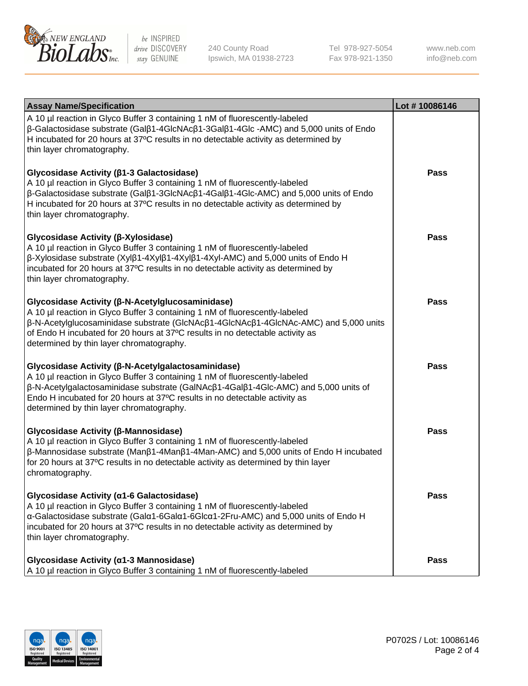

240 County Road Ipswich, MA 01938-2723 Tel 978-927-5054 Fax 978-921-1350 www.neb.com info@neb.com

| <b>Assay Name/Specification</b>                                                                                                                                                                                                                                                                                                                                           | Lot #10086146 |
|---------------------------------------------------------------------------------------------------------------------------------------------------------------------------------------------------------------------------------------------------------------------------------------------------------------------------------------------------------------------------|---------------|
| A 10 µl reaction in Glyco Buffer 3 containing 1 nM of fluorescently-labeled<br>$\beta$ -Galactosidase substrate (Gal $\beta$ 1-4GlcNAc $\beta$ 1-3Gal $\beta$ 1-4Glc -AMC) and 5,000 units of Endo<br>H incubated for 20 hours at 37°C results in no detectable activity as determined by<br>thin layer chromatography.                                                   |               |
| Glycosidase Activity (β1-3 Galactosidase)<br>A 10 µl reaction in Glyco Buffer 3 containing 1 nM of fluorescently-labeled<br>$\beta$ -Galactosidase substrate (Gal $\beta$ 1-3GlcNAc $\beta$ 1-4Gal $\beta$ 1-4Glc-AMC) and 5,000 units of Endo<br>H incubated for 20 hours at 37°C results in no detectable activity as determined by<br>thin layer chromatography.       | <b>Pass</b>   |
| Glycosidase Activity (β-Xylosidase)<br>A 10 µl reaction in Glyco Buffer 3 containing 1 nM of fluorescently-labeled<br>$\beta$ -Xylosidase substrate (Xyl $\beta$ 1-4Xyl $\beta$ 1-4Xyl $\beta$ 1-4Xyl-AMC) and 5,000 units of Endo H<br>incubated for 20 hours at 37°C results in no detectable activity as determined by<br>thin layer chromatography.                   | <b>Pass</b>   |
| Glycosidase Activity (β-N-Acetylglucosaminidase)<br>A 10 µl reaction in Glyco Buffer 3 containing 1 nM of fluorescently-labeled<br>β-N-Acetylglucosaminidase substrate (GlcNAcβ1-4GlcNAcβ1-4GlcNAc-AMC) and 5,000 units<br>of Endo H incubated for 20 hours at 37°C results in no detectable activity as<br>determined by thin layer chromatography.                      | <b>Pass</b>   |
| Glycosidase Activity (β-N-Acetylgalactosaminidase)<br>A 10 µl reaction in Glyco Buffer 3 containing 1 nM of fluorescently-labeled<br>$\beta$ -N-Acetylgalactosaminidase substrate (GalNAc $\beta$ 1-4Gal $\beta$ 1-4Glc-AMC) and 5,000 units of<br>Endo H incubated for 20 hours at 37°C results in no detectable activity as<br>determined by thin layer chromatography. | <b>Pass</b>   |
| Glycosidase Activity (β-Mannosidase)<br>A 10 µl reaction in Glyco Buffer 3 containing 1 nM of fluorescently-labeled<br>$\beta$ -Mannosidase substrate (Man $\beta$ 1-4Man $\beta$ 1-4Man-AMC) and 5,000 units of Endo H incubated<br>for 20 hours at 37°C results in no detectable activity as determined by thin layer<br>chromatography.                                | <b>Pass</b>   |
| Glycosidase Activity (α1-6 Galactosidase)<br>A 10 µl reaction in Glyco Buffer 3 containing 1 nM of fluorescently-labeled<br>α-Galactosidase substrate (Galα1-6Galα1-6Glcα1-2Fru-AMC) and 5,000 units of Endo H<br>incubated for 20 hours at 37°C results in no detectable activity as determined by<br>thin layer chromatography.                                         | <b>Pass</b>   |
| Glycosidase Activity (α1-3 Mannosidase)<br>A 10 µl reaction in Glyco Buffer 3 containing 1 nM of fluorescently-labeled                                                                                                                                                                                                                                                    | <b>Pass</b>   |

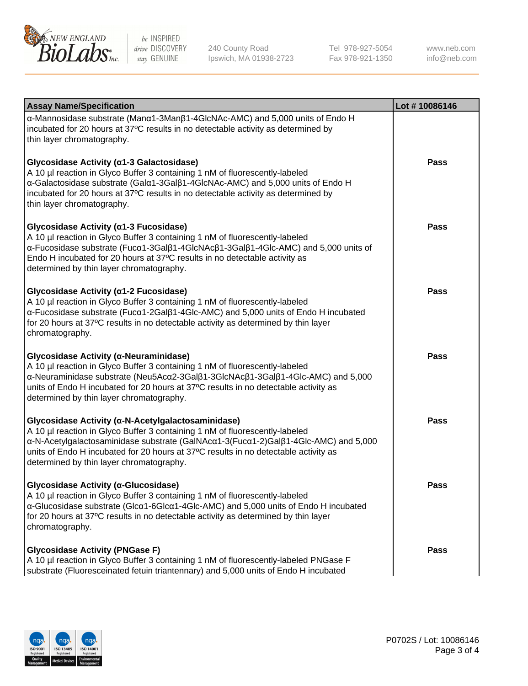

240 County Road Ipswich, MA 01938-2723 Tel 978-927-5054 Fax 978-921-1350 www.neb.com info@neb.com

| <b>Assay Name/Specification</b>                                                                                                                                                                                                                                                                                                                                                               | Lot #10086146 |
|-----------------------------------------------------------------------------------------------------------------------------------------------------------------------------------------------------------------------------------------------------------------------------------------------------------------------------------------------------------------------------------------------|---------------|
| $\alpha$ -Mannosidase substrate (Man $\alpha$ 1-3Man $\beta$ 1-4GlcNAc-AMC) and 5,000 units of Endo H<br>incubated for 20 hours at 37°C results in no detectable activity as determined by<br>thin layer chromatography.                                                                                                                                                                      |               |
| Glycosidase Activity (α1-3 Galactosidase)<br>A 10 µl reaction in Glyco Buffer 3 containing 1 nM of fluorescently-labeled<br>$\alpha$ -Galactosidase substrate (Gal $\alpha$ 1-3Gal $\beta$ 1-4GlcNAc-AMC) and 5,000 units of Endo H<br>incubated for 20 hours at 37°C results in no detectable activity as determined by<br>thin layer chromatography.                                        | <b>Pass</b>   |
| Glycosidase Activity (a1-3 Fucosidase)<br>A 10 µl reaction in Glyco Buffer 3 containing 1 nM of fluorescently-labeled<br>$\alpha$ -Fucosidase substrate (Fuc $\alpha$ 1-3Gal $\beta$ 1-4GlcNAc $\beta$ 1-3Gal $\beta$ 1-4Glc-AMC) and 5,000 units of<br>Endo H incubated for 20 hours at 37°C results in no detectable activity as<br>determined by thin layer chromatography.                | Pass          |
| Glycosidase Activity (α1-2 Fucosidase)<br>A 10 µl reaction in Glyco Buffer 3 containing 1 nM of fluorescently-labeled<br>$\alpha$ -Fucosidase substrate (Fuc $\alpha$ 1-2Gal $\beta$ 1-4Glc-AMC) and 5,000 units of Endo H incubated<br>for 20 hours at 37°C results in no detectable activity as determined by thin layer<br>chromatography.                                                 | Pass          |
| <b>Glycosidase Activity (α-Neuraminidase)</b><br>A 10 µl reaction in Glyco Buffer 3 containing 1 nM of fluorescently-labeled<br>$\alpha$ -Neuraminidase substrate (Neu5Ac $\alpha$ 2-3Gal $\beta$ 1-3GlcNAc $\beta$ 1-3Gal $\beta$ 1-4Glc-AMC) and 5,000<br>units of Endo H incubated for 20 hours at 37°C results in no detectable activity as<br>determined by thin layer chromatography.   | <b>Pass</b>   |
| Glycosidase Activity (α-N-Acetylgalactosaminidase)<br>A 10 µl reaction in Glyco Buffer 3 containing 1 nM of fluorescently-labeled<br>$\alpha$ -N-Acetylgalactosaminidase substrate (GalNAc $\alpha$ 1-3(Fuc $\alpha$ 1-2)Gal $\beta$ 1-4Glc-AMC) and 5,000<br>units of Endo H incubated for 20 hours at 37°C results in no detectable activity as<br>determined by thin layer chromatography. | <b>Pass</b>   |
| <b>Glycosidase Activity (α-Glucosidase)</b><br>A 10 µl reaction in Glyco Buffer 3 containing 1 nM of fluorescently-labeled<br>$\alpha$ -Glucosidase substrate (Glc $\alpha$ 1-6Glc $\alpha$ 1-4Glc-AMC) and 5,000 units of Endo H incubated<br>for 20 hours at 37°C results in no detectable activity as determined by thin layer<br>chromatography.                                          | Pass          |
| <b>Glycosidase Activity (PNGase F)</b><br>A 10 µl reaction in Glyco Buffer 3 containing 1 nM of fluorescently-labeled PNGase F<br>substrate (Fluoresceinated fetuin triantennary) and 5,000 units of Endo H incubated                                                                                                                                                                         | <b>Pass</b>   |